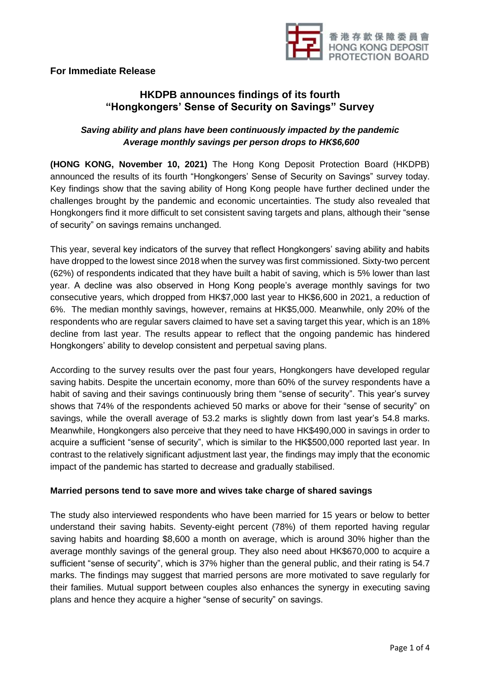

## **For Immediate Release**

# **HKDPB announces findings of its fourth "Hongkongers' Sense of Security on Savings" Survey**

## *Saving ability and plans have been continuously impacted by the pandemic Average monthly savings per person drops to HK\$6,600*

**(HONG KONG, November 10, 2021)** The Hong Kong Deposit Protection Board (HKDPB) announced the results of its fourth "Hongkongers' Sense of Security on Savings" survey today. Key findings show that the saving ability of Hong Kong people have further declined under the challenges brought by the pandemic and economic uncertainties. The study also revealed that Hongkongers find it more difficult to set consistent saving targets and plans, although their "sense of security" on savings remains unchanged.

This year, several key indicators of the survey that reflect Hongkongers' saving ability and habits have dropped to the lowest since 2018 when the survey was first commissioned. Sixty-two percent (62%) of respondents indicated that they have built a habit of saving, which is 5% lower than last year. A decline was also observed in Hong Kong people's average monthly savings for two consecutive years, which dropped from HK\$7,000 last year to HK\$6,600 in 2021, a reduction of 6%. The median monthly savings, however, remains at HK\$5,000. Meanwhile, only 20% of the respondents who are regular savers claimed to have set a saving target this year, which is an 18% decline from last year. The results appear to reflect that the ongoing pandemic has hindered Hongkongers' ability to develop consistent and perpetual saving plans.

According to the survey results over the past four years, Hongkongers have developed regular saving habits. Despite the uncertain economy, more than 60% of the survey respondents have a habit of saving and their savings continuously bring them "sense of security". This year's survey shows that 74% of the respondents achieved 50 marks or above for their "sense of security" on savings, while the overall average of 53.2 marks is slightly down from last year's 54.8 marks. Meanwhile, Hongkongers also perceive that they need to have HK\$490,000 in savings in order to acquire a sufficient "sense of security", which is similar to the HK\$500,000 reported last year. In contrast to the relatively significant adjustment last year, the findings may imply that the economic impact of the pandemic has started to decrease and gradually stabilised.

### **Married persons tend to save more and wives take charge of shared savings**

The study also interviewed respondents who have been married for 15 years or below to better understand their saving habits. Seventy-eight percent (78%) of them reported having regular saving habits and hoarding \$8,600 a month on average, which is around 30% higher than the average monthly savings of the general group. They also need about HK\$670,000 to acquire a sufficient "sense of security", which is 37% higher than the general public, and their rating is 54.7 marks. The findings may suggest that married persons are more motivated to save regularly for their families. Mutual support between couples also enhances the synergy in executing saving plans and hence they acquire a higher "sense of security" on savings.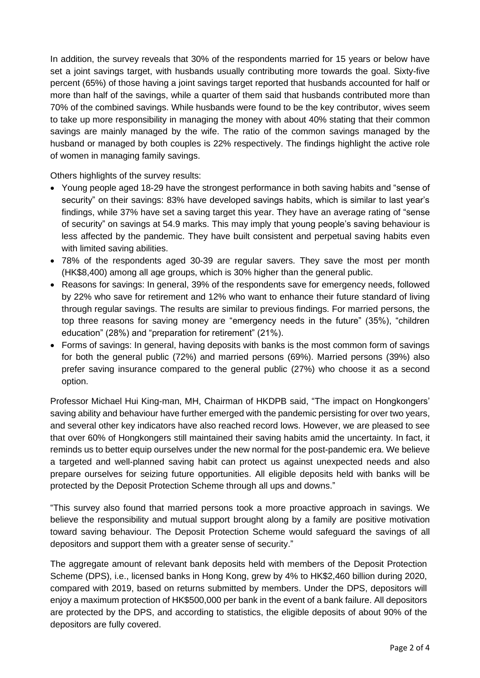In addition, the survey reveals that 30% of the respondents married for 15 years or below have set a joint savings target, with husbands usually contributing more towards the goal. Sixty-five percent (65%) of those having a joint savings target reported that husbands accounted for half or more than half of the savings, while a quarter of them said that husbands contributed more than 70% of the combined savings. While husbands were found to be the key contributor, wives seem to take up more responsibility in managing the money with about 40% stating that their common savings are mainly managed by the wife. The ratio of the common savings managed by the husband or managed by both couples is 22% respectively. The findings highlight the active role of women in managing family savings.

Others highlights of the survey results:

- Young people aged 18-29 have the strongest performance in both saving habits and "sense of security" on their savings: 83% have developed savings habits, which is similar to last year's findings, while 37% have set a saving target this year. They have an average rating of "sense of security" on savings at 54.9 marks. This may imply that young people's saving behaviour is less affected by the pandemic. They have built consistent and perpetual saving habits even with limited saving abilities.
- 78% of the respondents aged 30-39 are regular savers. They save the most per month (HK\$8,400) among all age groups, which is 30% higher than the general public.
- Reasons for savings: In general, 39% of the respondents save for emergency needs, followed by 22% who save for retirement and 12% who want to enhance their future standard of living through regular savings. The results are similar to previous findings. For married persons, the top three reasons for saving money are "emergency needs in the future" (35%), "children education" (28%) and "preparation for retirement" (21%).
- Forms of savings: In general, having deposits with banks is the most common form of savings for both the general public (72%) and married persons (69%). Married persons (39%) also prefer saving insurance compared to the general public (27%) who choose it as a second option.

Professor Michael Hui King-man, MH, Chairman of HKDPB said, "The impact on Hongkongers' saving ability and behaviour have further emerged with the pandemic persisting for over two years, and several other key indicators have also reached record lows. However, we are pleased to see that over 60% of Hongkongers still maintained their saving habits amid the uncertainty. In fact, it reminds us to better equip ourselves under the new normal for the post-pandemic era. We believe a targeted and well-planned saving habit can protect us against unexpected needs and also prepare ourselves for seizing future opportunities. All eligible deposits held with banks will be protected by the Deposit Protection Scheme through all ups and downs."

"This survey also found that married persons took a more proactive approach in savings. We believe the responsibility and mutual support brought along by a family are positive motivation toward saving behaviour. The Deposit Protection Scheme would safeguard the savings of all depositors and support them with a greater sense of security."

The aggregate amount of relevant bank deposits held with members of the Deposit Protection Scheme (DPS), i.e., licensed banks in Hong Kong, grew by 4% to HK\$2,460 billion during 2020, compared with 2019, based on returns submitted by members. Under the DPS, depositors will enjoy a maximum protection of HK\$500,000 per bank in the event of a bank failure. All depositors are protected by the DPS, and according to statistics, the eligible deposits of about 90% of the depositors are fully covered.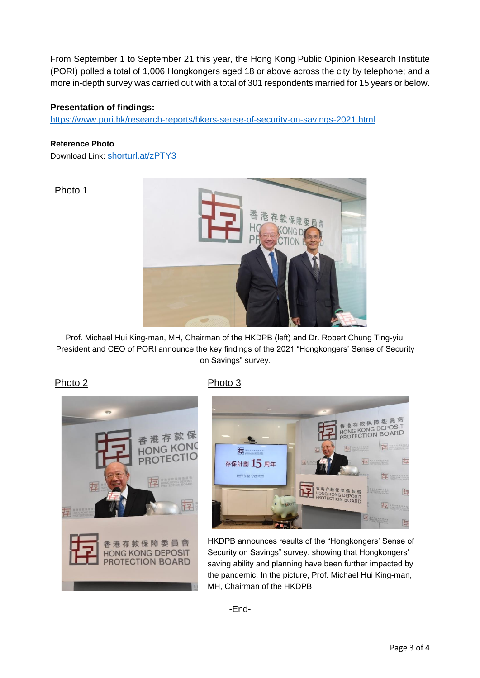From September 1 to September 21 this year, the Hong Kong Public Opinion Research Institute (PORI) polled a total of 1,006 Hongkongers aged 18 or above across the city by telephone; and a more in-depth survey was carried out with a total of 301 respondents married for 15 years or below.

### **Presentation of findings:**

https://www.pori.hk/research-reports/hkers-sense-of-security-on-savings-2021.html

#### **Reference Photo**

Download Link: shorturl.at/zPTY3

### Photo 1



Prof. Michael Hui King-man, MH, Chairman of the HKDPB (left) and Dr. Robert Chung Ting-yiu, President and CEO of PORI announce the key findings of the 2021 "Hongkongers' Sense of Security on Savings" survey.

Photo 2 Photo 3





HKDPB announces results of the "Hongkongers' Sense of Security on Savings" survey, showing that Hongkongers' saving ability and planning have been further impacted by the pandemic. In the picture, Prof. Michael Hui King-man, MH, Chairman of the HKDPB

-End-